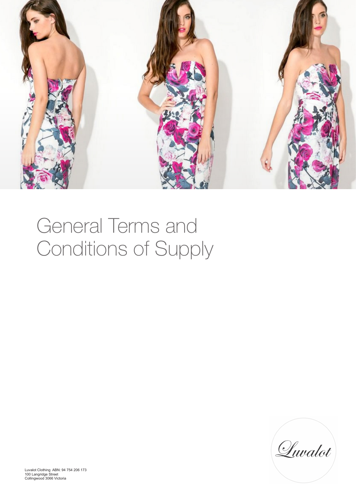

# General Terms and Conditions of Supply

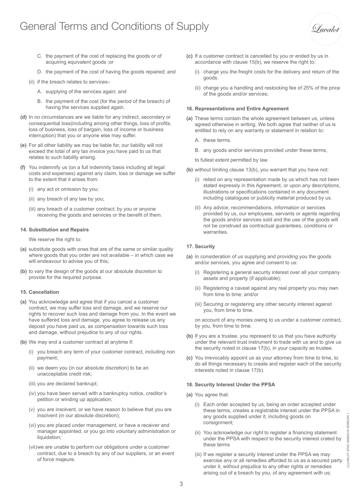# General Terms and Conditions of Supply

Suvalot

- C. the payment of the cost of replacing the goods or of acquiring equivalent goods ;or
- D. the payment of the cost of having the goods repaired; and
- (ii) if the breach relates to services–
	- A. supplying of the services again; and
	- B. the payment of the cost (for the period of the breach) of having the services supplied again.
- **(d)** In no circumstances are we liable for any indirect, secondary or consequential loss(including among other things, loss of profits, loss of business, loss of bargain, loss of income or business interruption) that you or anyone else may suffer.
- **(e)** For all other liability we may be liable for, our liability will not exceed the total of any tax invoice you have paid to us that relates to such liability arising.
- **(f)** You indemnify us (on a full indemnity basis including all legal costs and expenses) against any claim, loss or damage we suffer to the extent that it arises from:
	- (i) any act or omission by you;
	- (ii) any breach of any law by you;
	- (iii) any breach of a customer contract; by you or anyone receiving the goods and services or the benefit of them.

#### **14. Substitution and Repairs**

We reserve the right to:

- **(a)** substitute goods with ones that are of the same or similar quality where goods that you order are not available – in which case we will endeavour to advise you of this;
- **(b)** to vary the design of the goods at our absolute discretion to provide for the required purpose.

#### **15. Cancellation**

- **(a)** You acknowledge and agree that if you cancel a customer contract, we may suffer loss and damage, and we reserve our rights to recover such loss and damage from you. In the event we have suffered loss and damage, you agree to release us any deposit you have paid us, as compensation towards such loss and damage, without prejudice to any of our rights.
- **(b)** We may end a customer contract at anytime if:
	- (i) you breach any term of your customer contract, including non payment;
	- (ii) we deem you (in our absolute discretion) to be an unacceptable credit risk;
	- (iii) you are declared bankrupt;
	- (iv) you have been served with a bankruptcy notice, creditor's petition or winding up application;
	- (v) you are insolvent, or we have reason to believe that you are insolvent (in our absolute discretion);
	- (vi) you are placed under management, or have a receiver and manager appointed, or you go into voluntary administration or liquidation;
	- (vii) we are unable to perform our obligations under a customer contract, due to a breach by any of our suppliers, or an event of force majeure.
- **(c)** If a customer contract is cancelled by you or ended by us in accordance with clause 15(b), we reserve the right to:
	- (i) charge you the freight costs for the delivery and return of the goods.
	- (ii) charge you a handling and restocking fee of 25% of the price of the goods and/or services;

#### **16. Representations and Entire Agreement**

- **(a)** These terms contain the whole agreement between us, unless agreed otherwise in writing. We both agree that neither of us is entitled to rely on any warranty or statement in relation to:
	- A. these terms.
	- B. any goods and/or services provided under these terms,
	- to fullest extent permitted by law.
- **(b)** without limiting clause 13(b), you warrant that you have not:
	- (i) relied on any representation made by us which has not been stated expressly in this Agreement, or upon any descriptions, illustrations or specifications contained in any document including catalogues or publicity material produced by us.
	- (ii) Any advice, recommendations, information or services provided by us, our employees, servants or agents regarding the goods and/or services sold and the use of the goods will not be construed as contractual guarantees, conditions or warranties.

## **17. Security**

- **(a)** In consideration of us supplying and providing you the goods and/or services, you agree and consent to us:
	- (i) Registering a general security interest over all your company assets and property (if applicable);
	- (ii) Registering a caveat against any real property you may own from time to time; and/or
	- (iii) Securing or registering any other security interest against you, from time to time.

 on account of any monies owing to us under a customer contract, by you, from time to time.

- **(b)** If you are a trustee, you represent to us that you have authority under the relevant trust instrument to trade with us and to give us the security noted in clause 17(b), in your capacity as trustee.
- **(c)** You irrevocably appoint us as your attorney from time to time, to do all things necessary to create and register each of the security interests noted in clause 17(b).

# **18. Security Interest Under the PPSA**

- **(a)** You agree that:
	- (i) Each order accepted by us, being an order accepted under these terms, creates a registrable interest under the PPSA in any goods supplied under it, including goods on consignment;
	- (ii) You acknowledge our right to register a financing statement under the PPSA with respect to the security interest crated by these terms
	- (iii) If we register a security interest under the PPSA we may exercise any or all remedies afforded to us as a secured party under it, without prejudice to any other rights or remedies arising out of a breach by you, of any agreement with us;